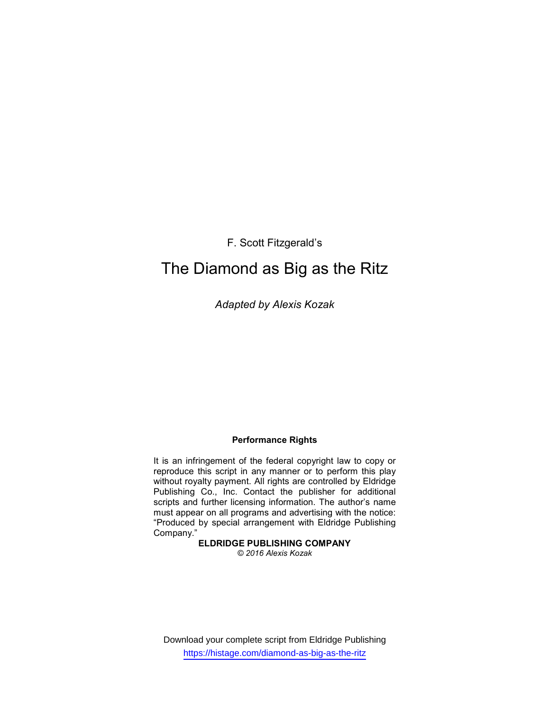F. Scott Fitzgerald's

# The Diamond as Big as the Ritz

Adapted by Alexis Kozak

# Performance Rights

It is an infringement of the federal copyright law to copy or reproduce this script in any manner or to perform this play without royalty payment. All rights are controlled by Eldridge Publishing Co., Inc. Contact the publisher for additional scripts and further licensing information. The author's name must appear on all programs and advertising with the notice: "Produced by special arrangement with Eldridge Publishing Company."

ELDRIDGE PUBLISHING COMPANY © 2016 Alexis Kozak

Download your complete script from Eldridge Publishing https://histage.com/diamond-as-big-as-the-ritz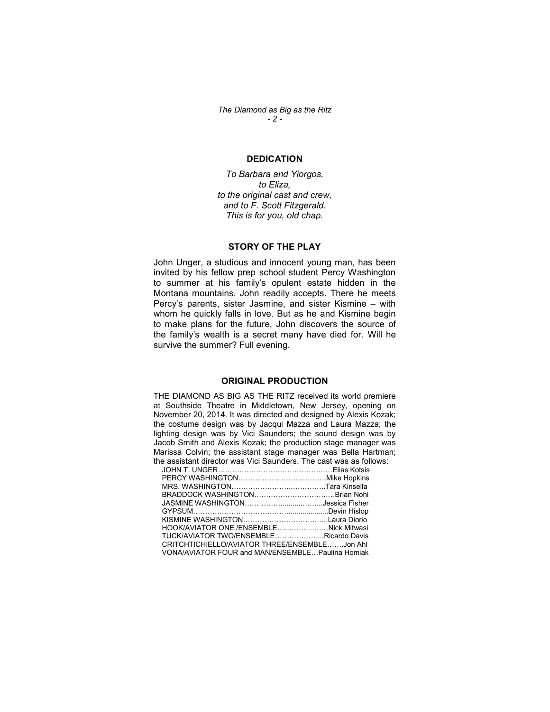The Diamond as Big as the Ritz  $-2-$ 

#### DEDICATION

To Barbara and Yiorgos, to Eliza, to the original cast and crew, and to F. Scott Fitzgerald. This is for you, old chap.

#### STORY OF THE PLAY

John Unger, a studious and innocent young man, has been invited by his fellow prep school student Percy Washington to summer at his family's opulent estate hidden in the Montana mountains. John readily accepts. There he meets Percy's parents, sister Jasmine, and sister Kismine – with whom he quickly falls in love. But as he and Kismine begin to make plans for the future, John discovers the source of the family's wealth is a secret many have died for. Will he survive the summer? Full evening.

#### ORIGINAL PRODUCTION

THE DIAMOND AS BIG AS THE RITZ received its world premiere at Southside Theatre in Middletown, New Jersey, opening on November 20, 2014. It was directed and designed by Alexis Kozak; the costume design was by Jacqui Mazza and Laura Mazza; the lighting design was by Vici Saunders; the sound design was by Jacob Smith and Alexis Kozak; the production stage manager was Marissa Colvin; the assistant stage manager was Bella Hartman; the assistant director was Vici Saunders. The cast was as follows:

| וט מסטוסנמות שווטטנטו אימט אוטו טמעוועטוט. דווט טמטנ אימט מט וטווע |  |
|--------------------------------------------------------------------|--|
|                                                                    |  |
|                                                                    |  |
|                                                                    |  |
|                                                                    |  |
|                                                                    |  |
|                                                                    |  |
|                                                                    |  |
| HOOK/AVIATOR ONE /ENSEMBLENick Mitwasi                             |  |
| TUCK/AVIATOR TWO/ENSEMBLERicardo Davis                             |  |
| CRITCHTICHIELLO/AVIATOR THREE/ENSEMBLEJon Ahl                      |  |
| VONA/AVIATOR FOUR and MAN/ENSEMBLE Paulina Homiak                  |  |
|                                                                    |  |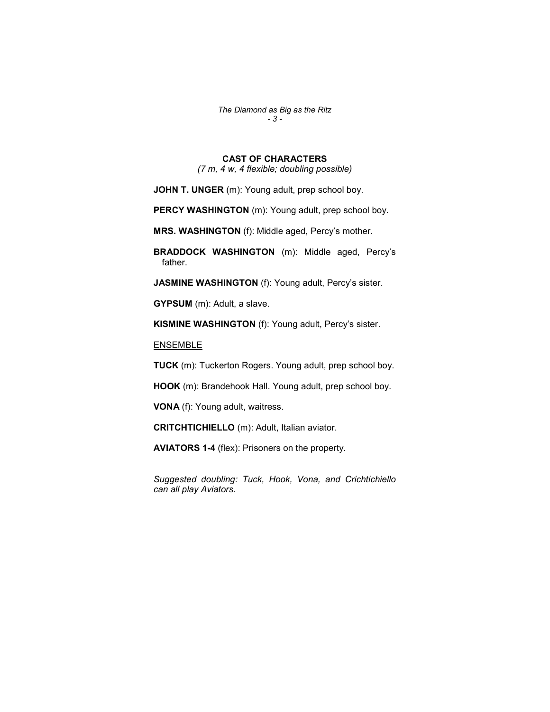The Diamond as Big as the Ritz - 3 -

## CAST OF CHARACTERS

(7 m, 4 w, 4 flexible; doubling possible)

JOHN T. UNGER (m): Young adult, prep school boy.

PERCY WASHINGTON (m): Young adult, prep school boy.

MRS. WASHINGTON (f): Middle aged, Percy's mother.

BRADDOCK WASHINGTON (m): Middle aged, Percy's father.

JASMINE WASHINGTON (f): Young adult, Percy's sister.

GYPSUM (m): Adult, a slave.

KISMINE WASHINGTON (f): Young adult, Percy's sister.

ENSEMBLE

TUCK (m): Tuckerton Rogers. Young adult, prep school boy.

HOOK (m): Brandehook Hall. Young adult, prep school boy.

VONA (f): Young adult, waitress.

CRITCHTICHIELLO (m): Adult, Italian aviator.

AVIATORS 1-4 (flex): Prisoners on the property.

Suggested doubling: Tuck, Hook, Vona, and Crichtichiello can all play Aviators.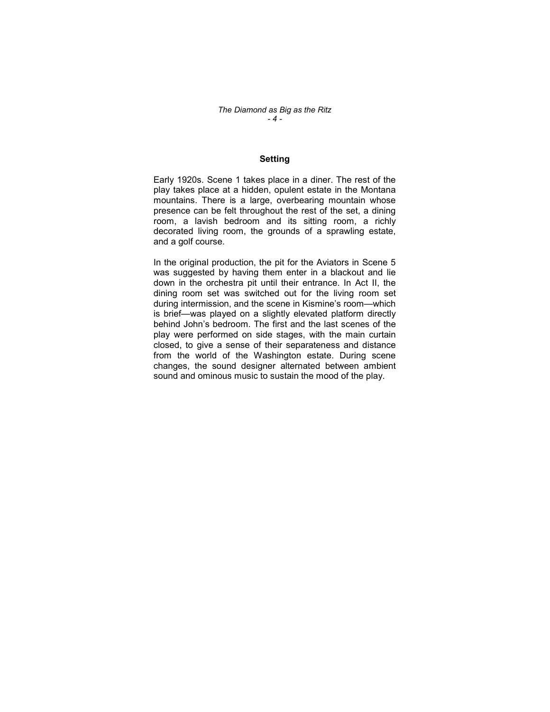#### **Setting**

Early 1920s. Scene 1 takes place in a diner. The rest of the play takes place at a hidden, opulent estate in the Montana mountains. There is a large, overbearing mountain whose presence can be felt throughout the rest of the set, a dining room, a lavish bedroom and its sitting room, a richly decorated living room, the grounds of a sprawling estate, and a golf course.

In the original production, the pit for the Aviators in Scene 5 was suggested by having them enter in a blackout and lie down in the orchestra pit until their entrance. In Act II, the dining room set was switched out for the living room set during intermission, and the scene in Kismine's room—which is brief—was played on a slightly elevated platform directly behind John's bedroom. The first and the last scenes of the play were performed on side stages, with the main curtain closed, to give a sense of their separateness and distance from the world of the Washington estate. During scene changes, the sound designer alternated between ambient sound and ominous music to sustain the mood of the play.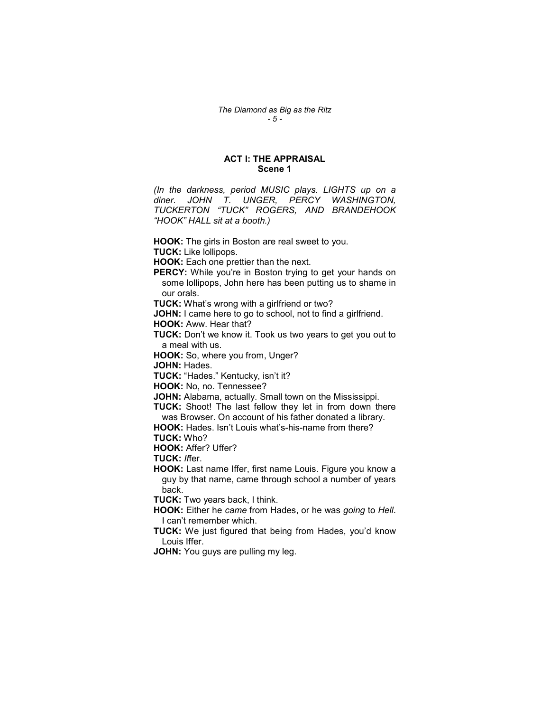### ACT I: THE APPRAISAL Scene 1

(In the darkness, period MUSIC plays. LIGHTS up on a diner. JOHN T. UNGER, PERCY WASHINGTON, TUCKERTON "TUCK" ROGERS, AND BRANDEHOOK "HOOK" HALL sit at a booth.)

HOOK: The girls in Boston are real sweet to you.

TUCK: Like lollipops.

HOOK: Each one prettier than the next.

PERCY: While you're in Boston trying to get your hands on some lollipops, John here has been putting us to shame in our orals.

**TUCK:** What's wrong with a girlfriend or two?

JOHN: I came here to go to school, not to find a girlfriend. HOOK: Aww. Hear that?

**TUCK:** Don't we know it. Took us two years to get you out to a meal with us.

HOOK: So, where you from, Unger?

JOHN: Hades.

TUCK: "Hades." Kentucky, isn't it?

HOOK: No, no. Tennessee?

JOHN: Alabama, actually. Small town on the Mississippi.

TUCK: Shoot! The last fellow they let in from down there was Browser. On account of his father donated a library.

HOOK: Hades. Isn't Louis what's-his-name from there? TUCK: Who?

HOOK: Affer? Uffer?

TUCK: Iffer.

HOOK: Last name Iffer, first name Louis. Figure you know a guy by that name, came through school a number of years back.

TUCK: Two years back, I think.

HOOK: Either he came from Hades, or he was going to Hell. I can't remember which.

**TUCK:** We just figured that being from Hades, you'd know Louis Iffer.

**JOHN:** You guys are pulling my leg.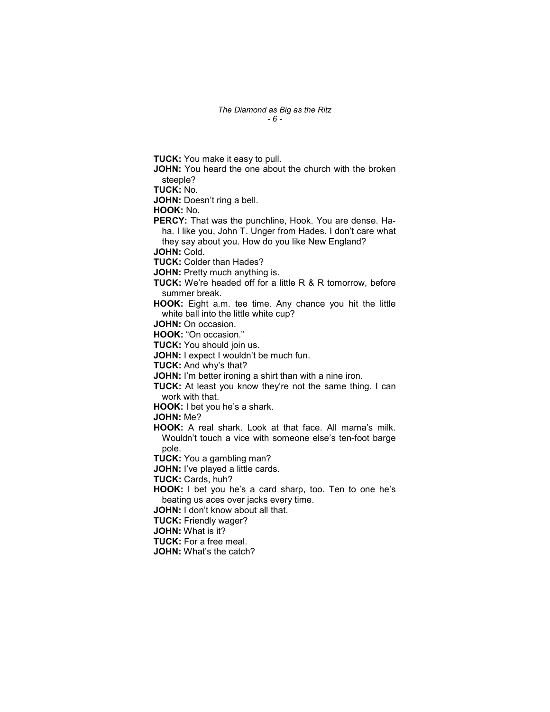**TUCK:** You make it easy to pull. JOHN: You heard the one about the church with the broken steeple? TUCK: No. JOHN: Doesn't ring a bell. HOOK: No. PERCY: That was the punchline, Hook. You are dense. Haha. I like you, John T. Unger from Hades. I don't care what they say about you. How do you like New England? JOHN: Cold. TUCK: Colder than Hades? JOHN: Pretty much anything is. **TUCK:** We're headed off for a little R & R tomorrow, before summer break. HOOK: Eight a.m. tee time. Any chance you hit the little white ball into the little white cup? JOHN: On occasion. HOOK: "On occasion." **TUCK:** You should join us. JOHN: I expect I wouldn't be much fun. TUCK: And why's that? JOHN: I'm better ironing a shirt than with a nine iron. TUCK: At least you know they're not the same thing. I can work with that. HOOK: I bet you he's a shark. JOHN: Me? HOOK: A real shark. Look at that face. All mama's milk. Wouldn't touch a vice with someone else's ten-foot barge pole. **TUCK:** You a gambling man? JOHN: I've played a little cards. TUCK: Cards, huh? HOOK: I bet you he's a card sharp, too. Ten to one he's beating us aces over jacks every time. JOHN: I don't know about all that. TUCK: Friendly wager? JOHN: What is it? TUCK: For a free meal. JOHN: What's the catch?